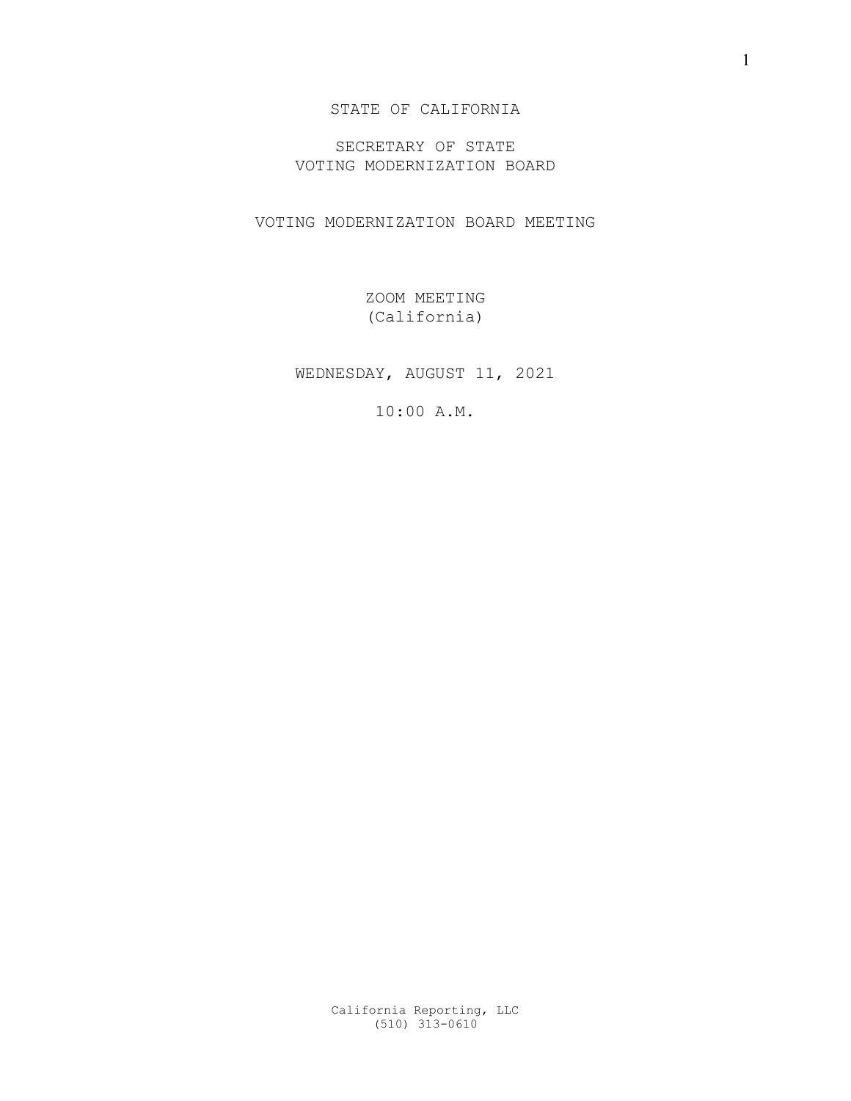STATE OF CALIFORNIA

SECRETARY OF STATE VOTING MODERNIZATION BOARD

VOTING MODERNIZATION BOARD MEETING

ZOOM MEETING (California)

WEDNESDAY, AUGUST 11, 2021

10:00 A.M.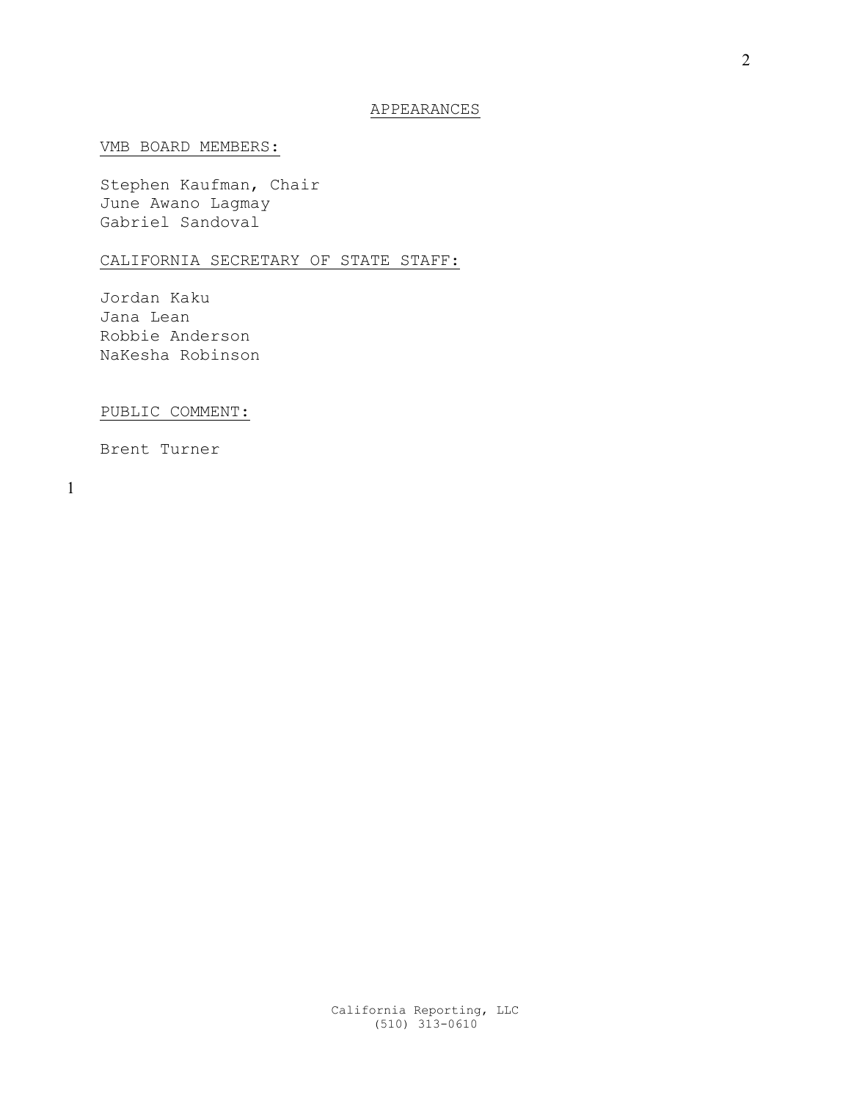## APPEARANCES

## VMB BOARD MEMBERS:

Stephen Kaufman, Chair June Awano Lagmay Gabriel Sandoval

## CALIFORNIA SECRETARY OF STATE STAFF:

Jordan Kaku Jana Lean Robbie Anderson NaKesha Robinson

PUBLIC COMMENT:

Brent Turner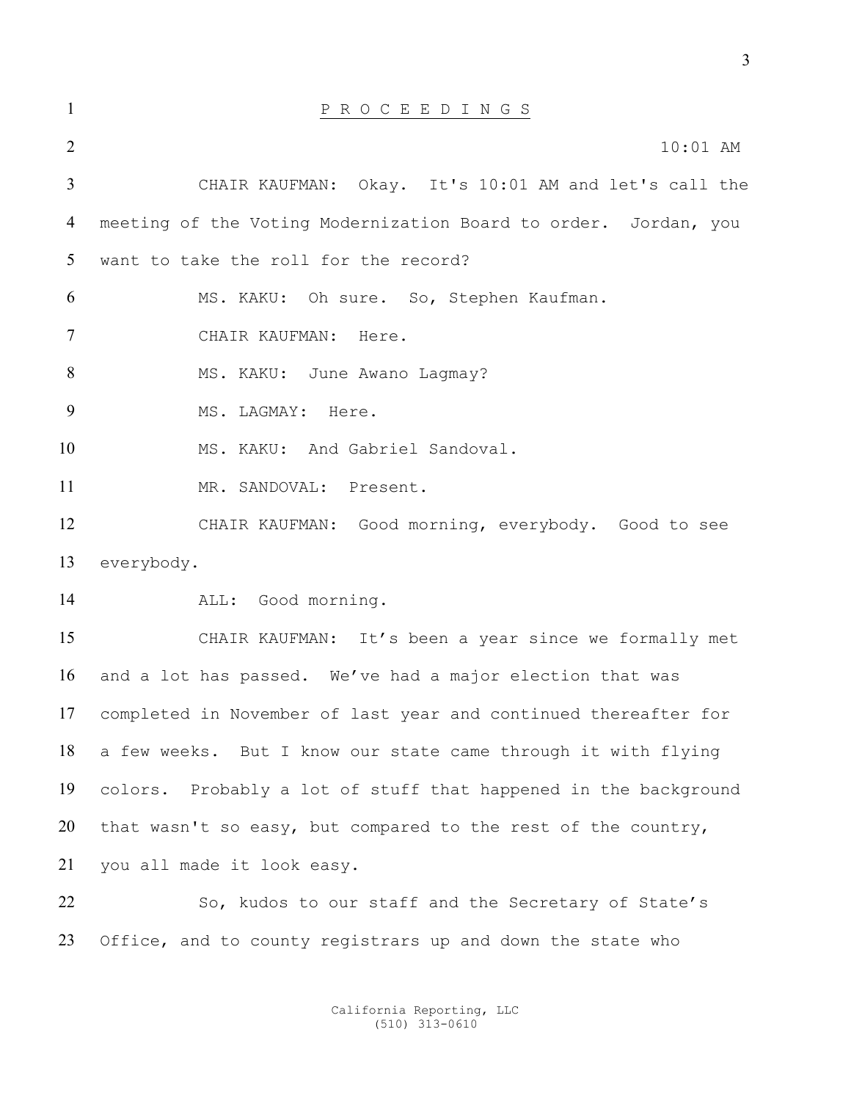| $\mathbf{1}$   | P R O C E E D I N G S                                           |
|----------------|-----------------------------------------------------------------|
| $\overline{2}$ | $10:01$ AM                                                      |
| $\mathfrak{Z}$ | CHAIR KAUFMAN: Okay. It's 10:01 AM and let's call the           |
| 4              | meeting of the Voting Modernization Board to order. Jordan, you |
| 5              | want to take the roll for the record?                           |
| 6              | MS. KAKU: Oh sure. So, Stephen Kaufman.                         |
| $\tau$         | CHAIR KAUFMAN: Here.                                            |
| 8              | MS. KAKU: June Awano Lagmay?                                    |
| 9              | MS. LAGMAY: Here.                                               |
| 10             | MS. KAKU: And Gabriel Sandoval.                                 |
| 11             | MR. SANDOVAL: Present.                                          |
| 12             | CHAIR KAUFMAN: Good morning, everybody. Good to see             |
| 13             | everybody.                                                      |
| 14             | ALL: Good morning.                                              |
| 15             | CHAIR KAUFMAN: It's been a year since we formally met           |
| 16             | and a lot has passed. We've had a major election that was       |
| 17             | completed in November of last year and continued thereafter for |
| 18             | a few weeks. But I know our state came through it with flying   |
| 19             | colors. Probably a lot of stuff that happened in the background |
| 20             | that wasn't so easy, but compared to the rest of the country,   |
| 21             | you all made it look easy.                                      |
| 22             | So, kudos to our staff and the Secretary of State's             |
| 23             | Office, and to county registrars up and down the state who      |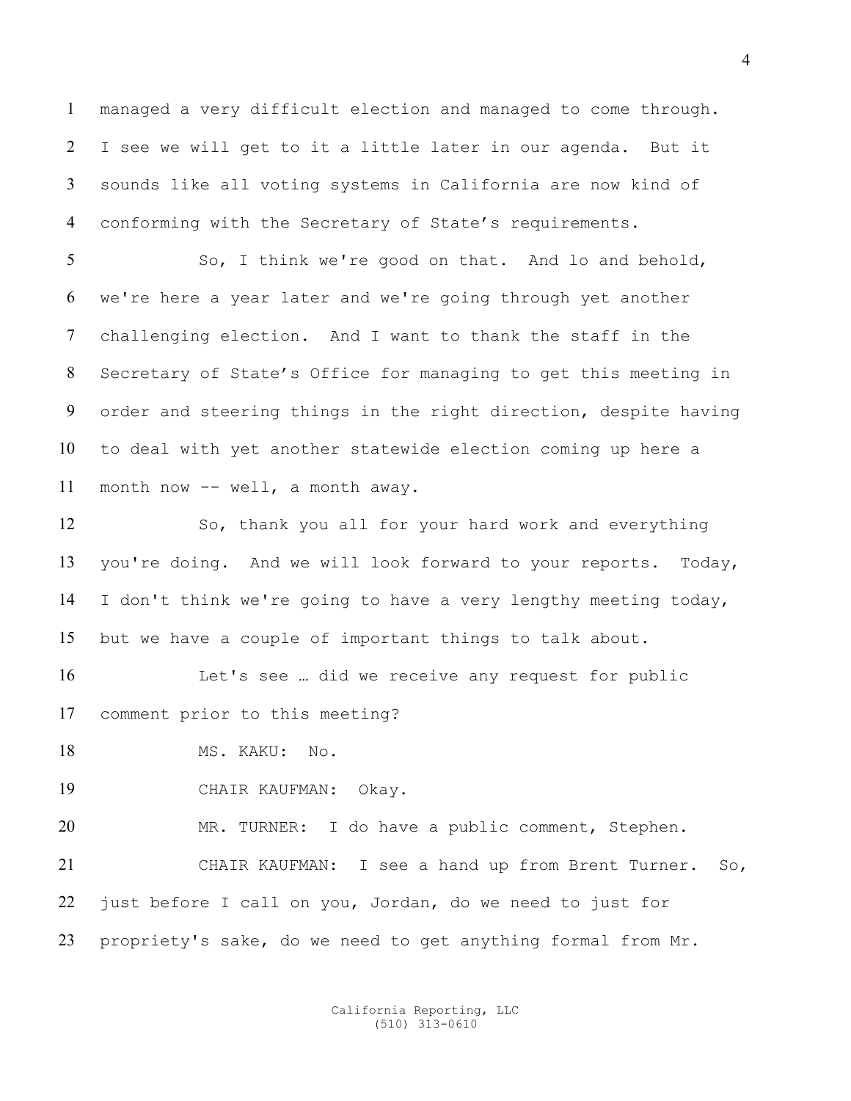managed a very difficult election and managed to come through. I see we will get to it a little later in our agenda. But it sounds like all voting systems in California are now kind of conforming with the Secretary of State's requirements.

So, I think we're good on that. And lo and behold, we're here a year later and we're going through yet another challenging election. And I want to thank the staff in the Secretary of State's Office for managing to get this meeting in order and steering things in the right direction, despite having to deal with yet another statewide election coming up here a month now -- well, a month away.

So, thank you all for your hard work and everything you're doing. And we will look forward to your reports. Today, I don't think we're going to have a very lengthy meeting today, but we have a couple of important things to talk about.

Let's see … did we receive any request for public comment prior to this meeting?

18 MS. KAKU: No.

CHAIR KAUFMAN: Okay.

MR. TURNER: I do have a public comment, Stephen. CHAIR KAUFMAN: I see a hand up from Brent Turner. So, just before I call on you, Jordan, do we need to just for propriety's sake, do we need to get anything formal from Mr.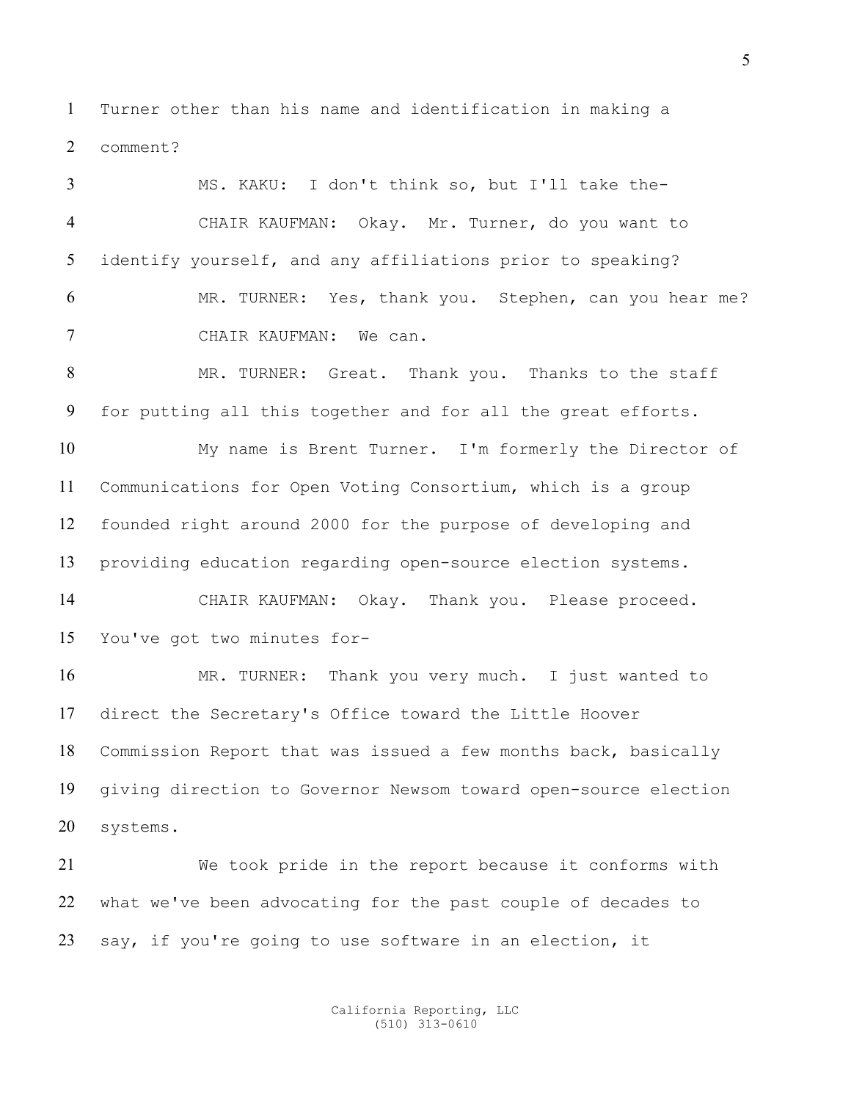Turner other than his name and identification in making a comment?

MS. KAKU: I don't think so, but I'll take the-CHAIR KAUFMAN: Okay. Mr. Turner, do you want to identify yourself, and any affiliations prior to speaking? MR. TURNER: Yes, thank you. Stephen, can you hear me? CHAIR KAUFMAN: We can. MR. TURNER: Great. Thank you. Thanks to the staff for putting all this together and for all the great efforts. My name is Brent Turner. I'm formerly the Director of Communications for Open Voting Consortium, which is a group founded right around 2000 for the purpose of developing and providing education regarding open-source election systems. CHAIR KAUFMAN: Okay. Thank you. Please proceed. You've got two minutes for-MR. TURNER: Thank you very much. I just wanted to direct the Secretary's Office toward the Little Hoover Commission Report that was issued a few months back, basically giving direction to Governor Newsom toward open-source election systems. We took pride in the report because it conforms with what we've been advocating for the past couple of decades to say, if you're going to use software in an election, it

> California Reporting, LLC (510) 313-0610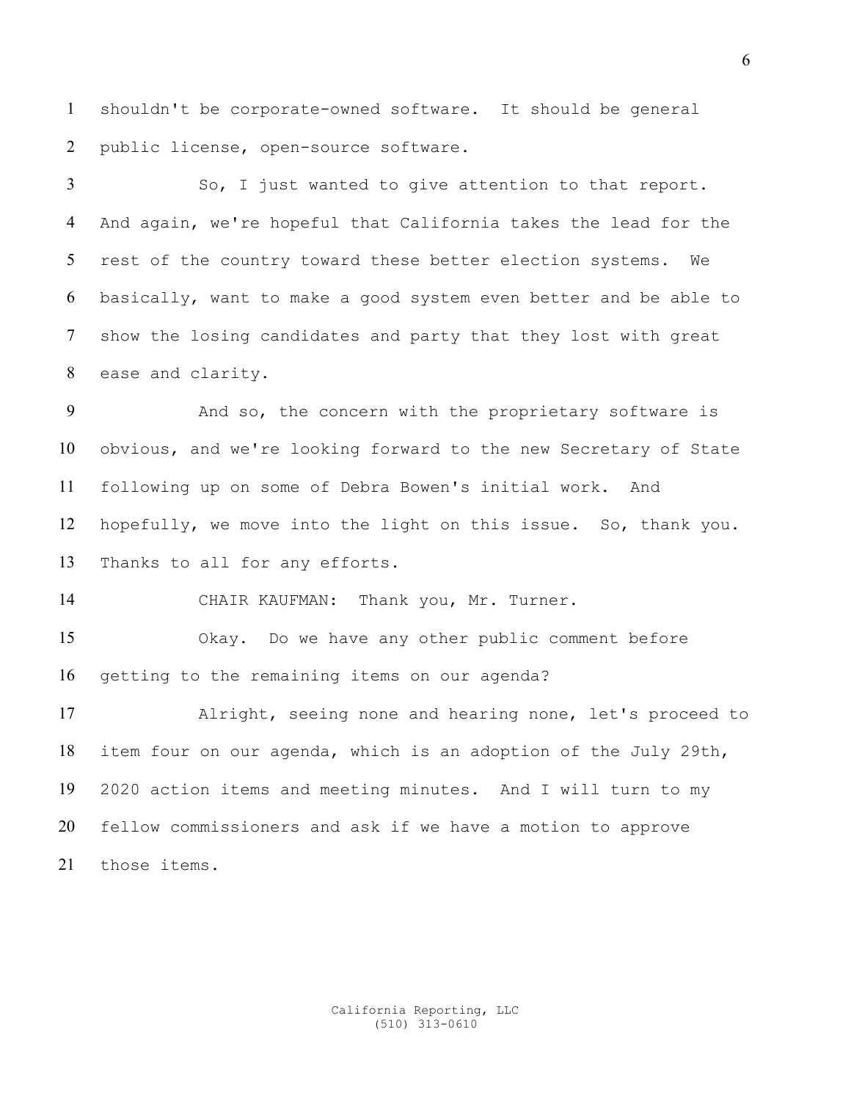shouldn't be corporate-owned software. It should be general public license, open-source software.

So, I just wanted to give attention to that report. And again, we're hopeful that California takes the lead for the rest of the country toward these better election systems. We basically, want to make a good system even better and be able to show the losing candidates and party that they lost with great ease and clarity.

And so, the concern with the proprietary software is obvious, and we're looking forward to the new Secretary of State following up on some of Debra Bowen's initial work. And hopefully, we move into the light on this issue. So, thank you. Thanks to all for any efforts.

CHAIR KAUFMAN: Thank you, Mr. Turner.

Okay. Do we have any other public comment before getting to the remaining items on our agenda?

Alright, seeing none and hearing none, let's proceed to item four on our agenda, which is an adoption of the July 29th, 2020 action items and meeting minutes. And I will turn to my fellow commissioners and ask if we have a motion to approve those items.

> California Reporting, LLC (510) 313-0610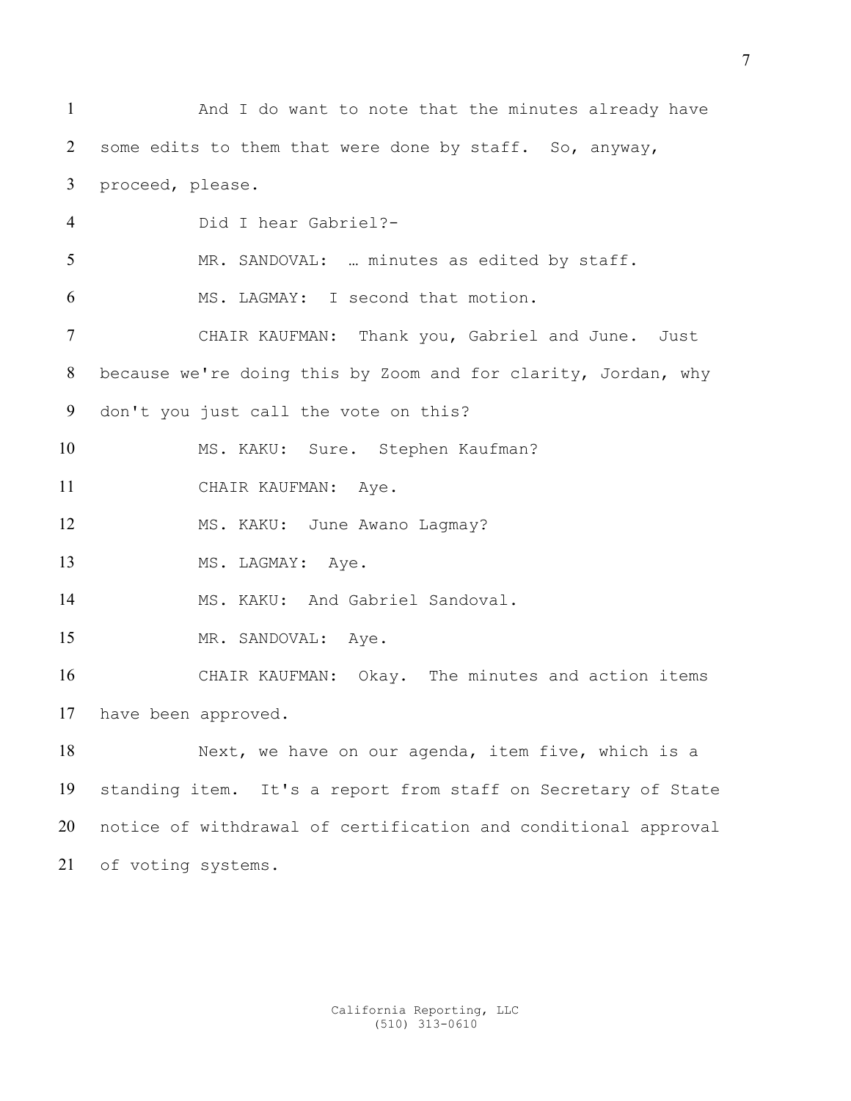And I do want to note that the minutes already have some edits to them that were done by staff. So, anyway, proceed, please. Did I hear Gabriel?- MR. SANDOVAL: … minutes as edited by staff. MS. LAGMAY: I second that motion. CHAIR KAUFMAN: Thank you, Gabriel and June. Just because we're doing this by Zoom and for clarity, Jordan, why don't you just call the vote on this? MS. KAKU: Sure. Stephen Kaufman? 11 CHAIR KAUFMAN: Aye. 12 MS. KAKU: June Awano Lagmay? 13 MS. LAGMAY: Aye. 14 MS. KAKU: And Gabriel Sandoval. 15 MR. SANDOVAL: Aye. CHAIR KAUFMAN: Okay. The minutes and action items have been approved. Next, we have on our agenda, item five, which is a standing item. It's a report from staff on Secretary of State notice of withdrawal of certification and conditional approval of voting systems.

> California Reporting, LLC (510) 313-0610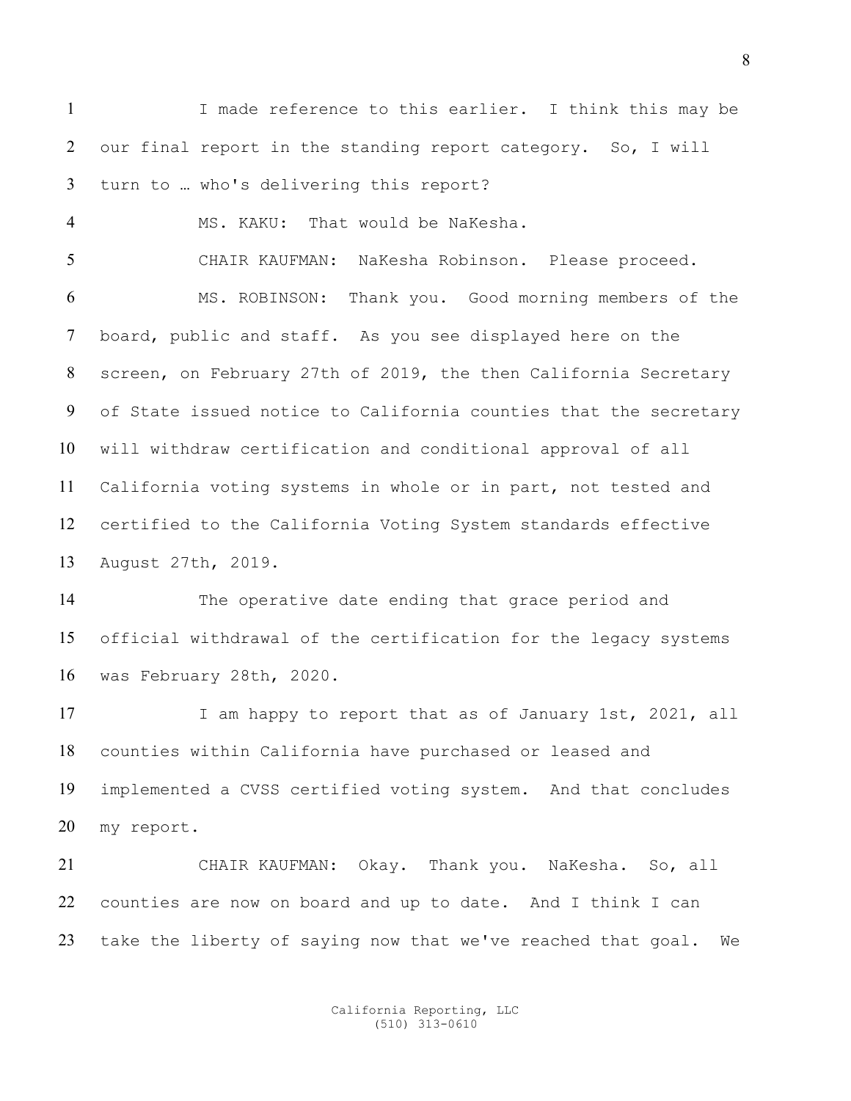I made reference to this earlier. I think this may be our final report in the standing report category. So, I will turn to … who's delivering this report?

CHAIR KAUFMAN: NaKesha Robinson. Please proceed. MS. ROBINSON: Thank you. Good morning members of the board, public and staff. As you see displayed here on the

MS. KAKU: That would be NaKesha.

screen, on February 27th of 2019, the then California Secretary of State issued notice to California counties that the secretary will withdraw certification and conditional approval of all California voting systems in whole or in part, not tested and certified to the California Voting System standards effective August 27th, 2019.

The operative date ending that grace period and official withdrawal of the certification for the legacy systems was February 28th, 2020.

17 I am happy to report that as of January 1st, 2021, all counties within California have purchased or leased and implemented a CVSS certified voting system. And that concludes my report.

CHAIR KAUFMAN: Okay. Thank you. NaKesha. So, all counties are now on board and up to date. And I think I can take the liberty of saying now that we've reached that goal. We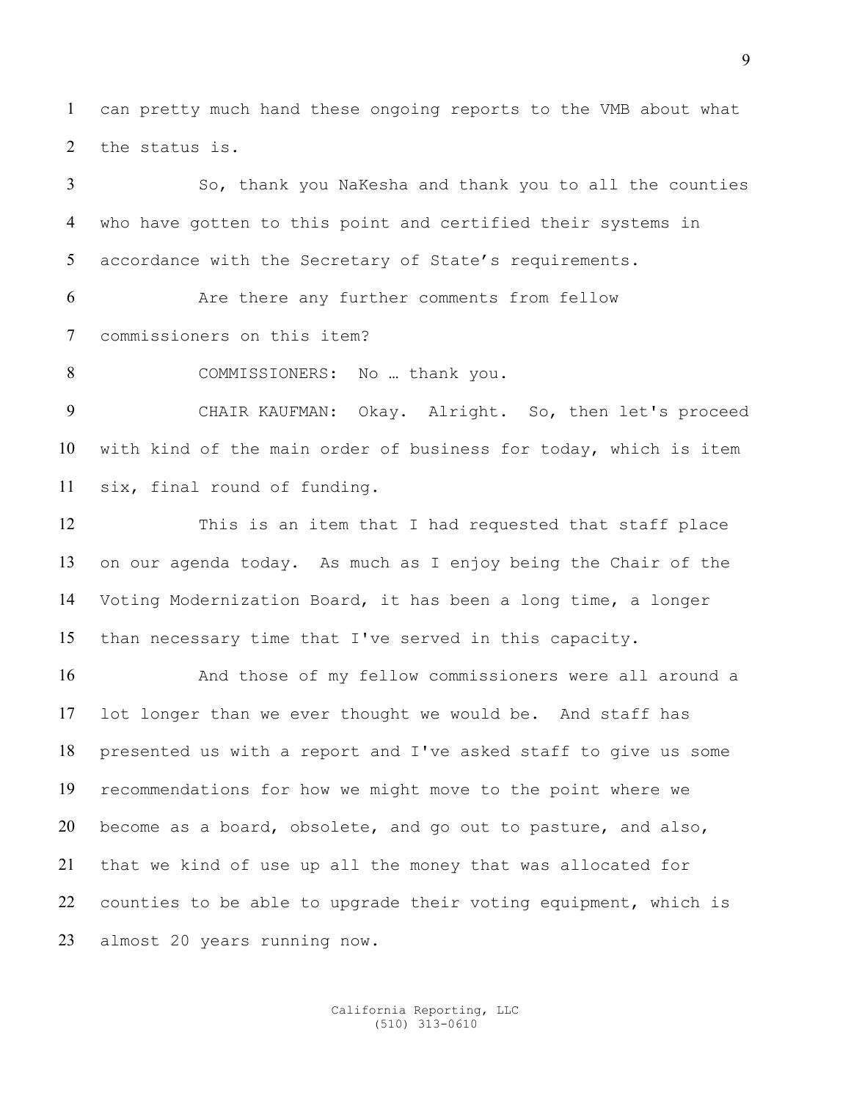can pretty much hand these ongoing reports to the VMB about what the status is.

So, thank you NaKesha and thank you to all the counties who have gotten to this point and certified their systems in accordance with the Secretary of State's requirements.

Are there any further comments from fellow commissioners on this item?

8 COMMISSIONERS: No ... thank you.

CHAIR KAUFMAN: Okay. Alright. So, then let's proceed with kind of the main order of business for today, which is item six, final round of funding.

This is an item that I had requested that staff place on our agenda today. As much as I enjoy being the Chair of the Voting Modernization Board, it has been a long time, a longer than necessary time that I've served in this capacity.

16 And those of my fellow commissioners were all around a lot longer than we ever thought we would be. And staff has presented us with a report and I've asked staff to give us some recommendations for how we might move to the point where we become as a board, obsolete, and go out to pasture, and also, that we kind of use up all the money that was allocated for counties to be able to upgrade their voting equipment, which is almost 20 years running now.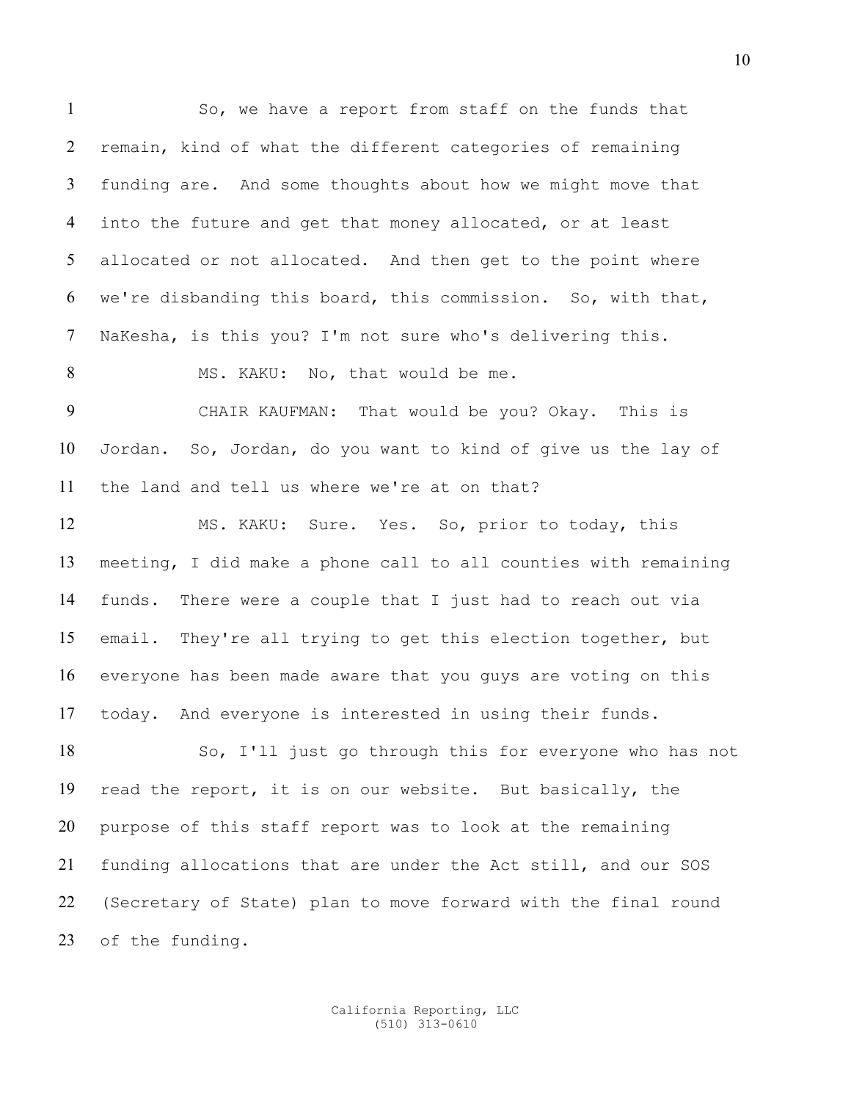So, we have a report from staff on the funds that remain, kind of what the different categories of remaining funding are. And some thoughts about how we might move that into the future and get that money allocated, or at least allocated or not allocated. And then get to the point where we're disbanding this board, this commission. So, with that, NaKesha, is this you? I'm not sure who's delivering this.

8 MS. KAKU: No, that would be me.

CHAIR KAUFMAN: That would be you? Okay. This is Jordan. So, Jordan, do you want to kind of give us the lay of the land and tell us where we're at on that?

MS. KAKU: Sure. Yes. So, prior to today, this meeting, I did make a phone call to all counties with remaining funds. There were a couple that I just had to reach out via email. They're all trying to get this election together, but everyone has been made aware that you guys are voting on this today. And everyone is interested in using their funds.

So, I'll just go through this for everyone who has not read the report, it is on our website. But basically, the purpose of this staff report was to look at the remaining funding allocations that are under the Act still, and our SOS (Secretary of State) plan to move forward with the final round of the funding.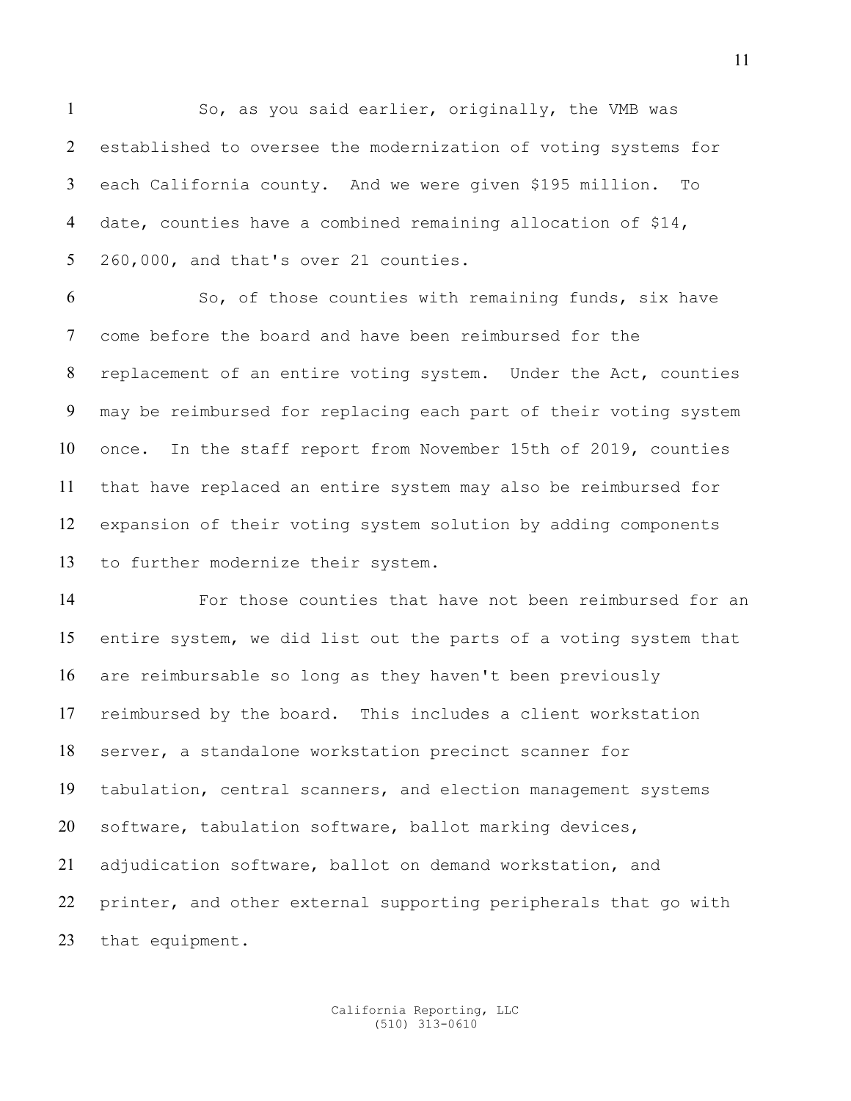So, as you said earlier, originally, the VMB was established to oversee the modernization of voting systems for each California county. And we were given \$195 million. To date, counties have a combined remaining allocation of \$14, 260,000, and that's over 21 counties.

So, of those counties with remaining funds, six have come before the board and have been reimbursed for the replacement of an entire voting system. Under the Act, counties may be reimbursed for replacing each part of their voting system once. In the staff report from November 15th of 2019, counties that have replaced an entire system may also be reimbursed for expansion of their voting system solution by adding components to further modernize their system.

For those counties that have not been reimbursed for an entire system, we did list out the parts of a voting system that are reimbursable so long as they haven't been previously reimbursed by the board. This includes a client workstation server, a standalone workstation precinct scanner for tabulation, central scanners, and election management systems software, tabulation software, ballot marking devices, adjudication software, ballot on demand workstation, and printer, and other external supporting peripherals that go with that equipment.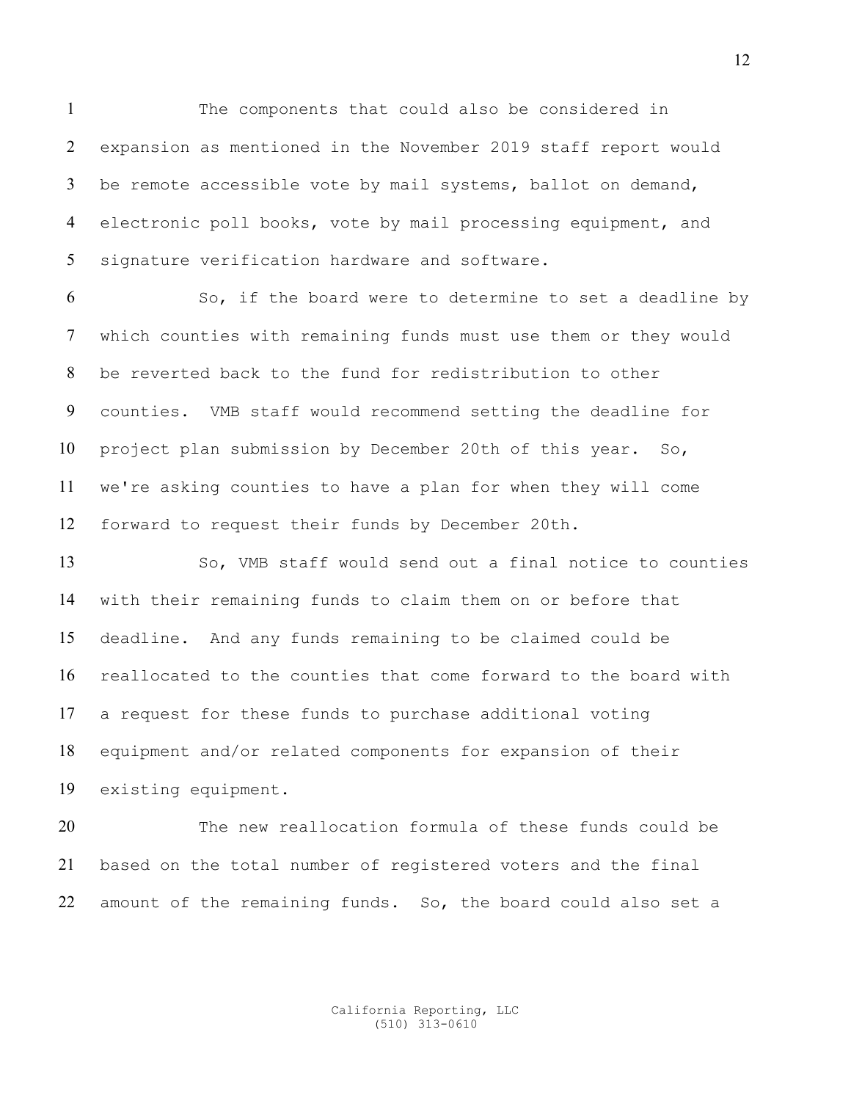The components that could also be considered in expansion as mentioned in the November 2019 staff report would be remote accessible vote by mail systems, ballot on demand, electronic poll books, vote by mail processing equipment, and signature verification hardware and software.

So, if the board were to determine to set a deadline by which counties with remaining funds must use them or they would be reverted back to the fund for redistribution to other counties. VMB staff would recommend setting the deadline for project plan submission by December 20th of this year. So, we're asking counties to have a plan for when they will come forward to request their funds by December 20th.

So, VMB staff would send out a final notice to counties with their remaining funds to claim them on or before that deadline. And any funds remaining to be claimed could be reallocated to the counties that come forward to the board with a request for these funds to purchase additional voting equipment and/or related components for expansion of their existing equipment.

The new reallocation formula of these funds could be based on the total number of registered voters and the final amount of the remaining funds. So, the board could also set a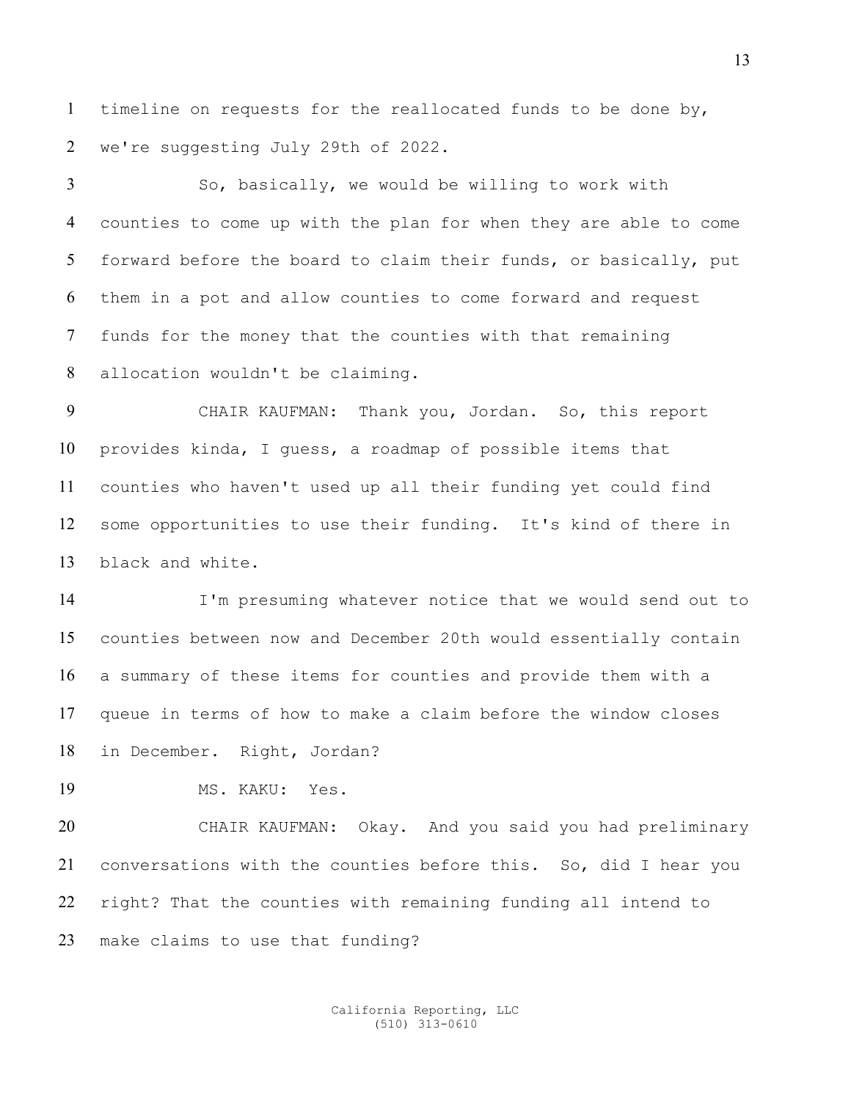timeline on requests for the reallocated funds to be done by, we're suggesting July 29th of 2022.

So, basically, we would be willing to work with counties to come up with the plan for when they are able to come forward before the board to claim their funds, or basically, put them in a pot and allow counties to come forward and request funds for the money that the counties with that remaining allocation wouldn't be claiming.

CHAIR KAUFMAN: Thank you, Jordan. So, this report provides kinda, I guess, a roadmap of possible items that counties who haven't used up all their funding yet could find some opportunities to use their funding. It's kind of there in black and white.

I'm presuming whatever notice that we would send out to counties between now and December 20th would essentially contain a summary of these items for counties and provide them with a queue in terms of how to make a claim before the window closes in December. Right, Jordan?

MS. KAKU: Yes.

CHAIR KAUFMAN: Okay. And you said you had preliminary conversations with the counties before this. So, did I hear you right? That the counties with remaining funding all intend to make claims to use that funding?

> California Reporting, LLC (510) 313-0610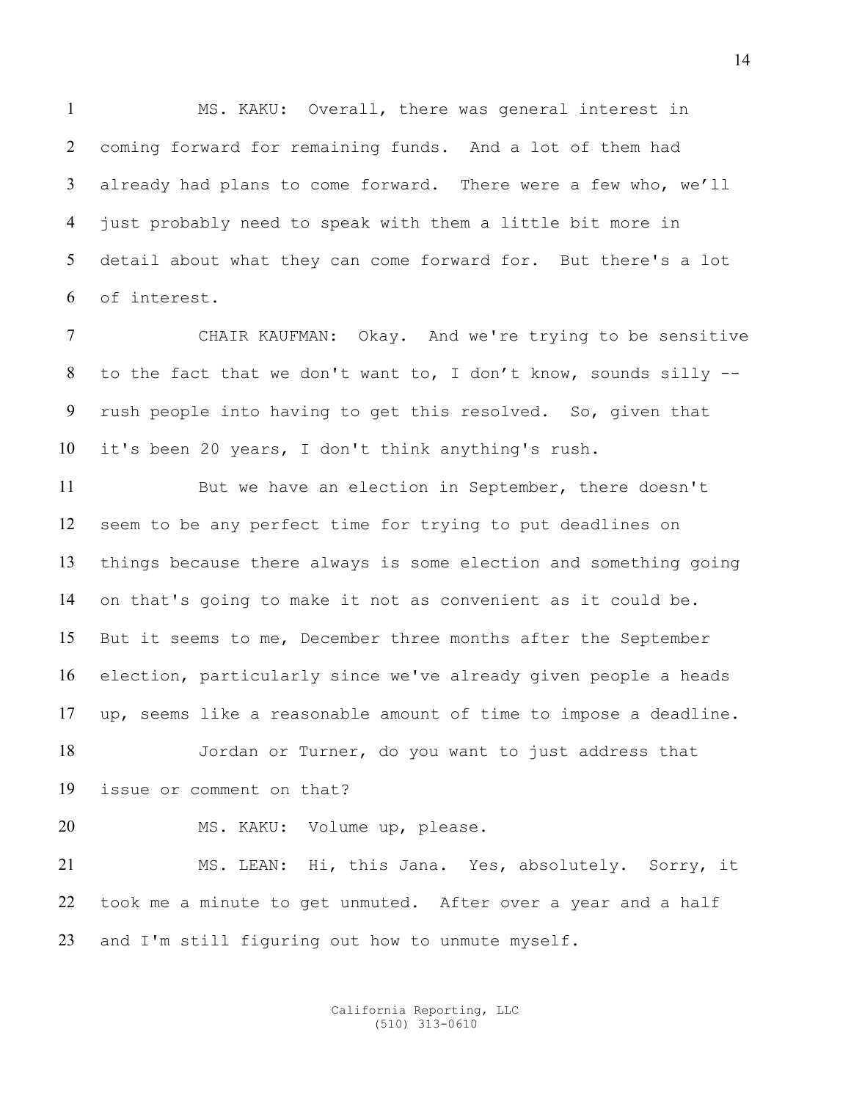MS. KAKU: Overall, there was general interest in coming forward for remaining funds. And a lot of them had already had plans to come forward. There were a few who, we'll just probably need to speak with them a little bit more in detail about what they can come forward for. But there's a lot of interest.

CHAIR KAUFMAN: Okay. And we're trying to be sensitive to the fact that we don't want to, I don't know, sounds silly -- rush people into having to get this resolved. So, given that it's been 20 years, I don't think anything's rush.

But we have an election in September, there doesn't seem to be any perfect time for trying to put deadlines on things because there always is some election and something going on that's going to make it not as convenient as it could be. But it seems to me, December three months after the September election, particularly since we've already given people a heads up, seems like a reasonable amount of time to impose a deadline.

Jordan or Turner, do you want to just address that issue or comment on that?

20 MS. KAKU: Volume up, please.

MS. LEAN: Hi, this Jana. Yes, absolutely. Sorry, it took me a minute to get unmuted. After over a year and a half and I'm still figuring out how to unmute myself.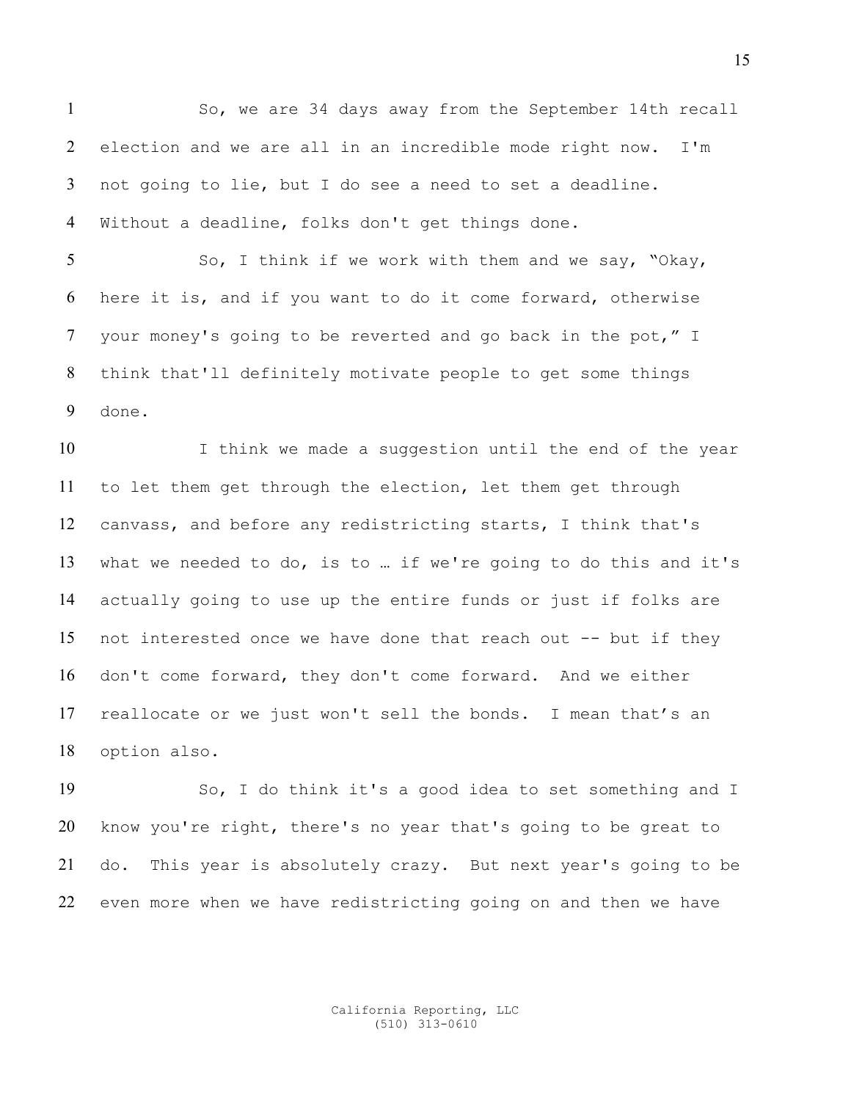So, we are 34 days away from the September 14th recall election and we are all in an incredible mode right now. I'm not going to lie, but I do see a need to set a deadline. Without a deadline, folks don't get things done.

So, I think if we work with them and we say, "Okay, here it is, and if you want to do it come forward, otherwise your money's going to be reverted and go back in the pot," I think that'll definitely motivate people to get some things done.

10 I think we made a suggestion until the end of the year to let them get through the election, let them get through canvass, and before any redistricting starts, I think that's what we needed to do, is to … if we're going to do this and it's actually going to use up the entire funds or just if folks are not interested once we have done that reach out -- but if they don't come forward, they don't come forward. And we either reallocate or we just won't sell the bonds. I mean that's an option also.

So, I do think it's a good idea to set something and I know you're right, there's no year that's going to be great to do. This year is absolutely crazy. But next year's going to be even more when we have redistricting going on and then we have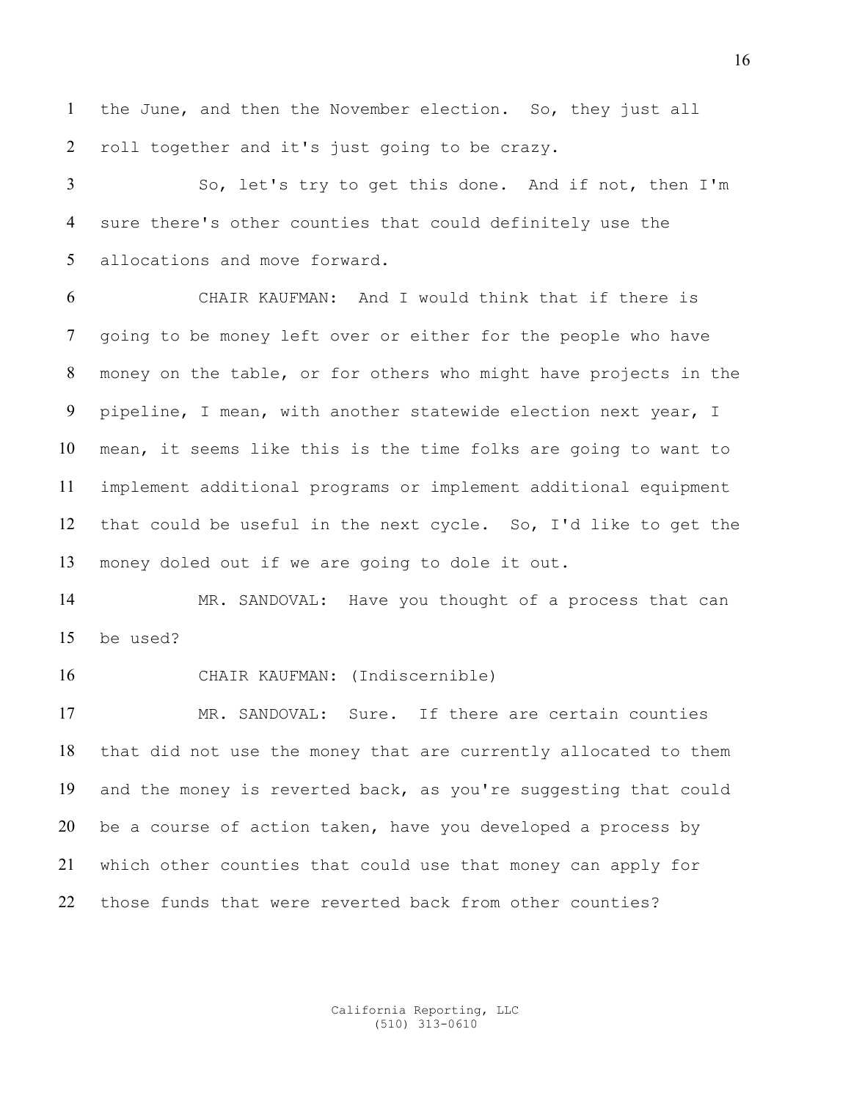the June, and then the November election. So, they just all roll together and it's just going to be crazy.

So, let's try to get this done. And if not, then I'm sure there's other counties that could definitely use the allocations and move forward.

CHAIR KAUFMAN: And I would think that if there is going to be money left over or either for the people who have money on the table, or for others who might have projects in the pipeline, I mean, with another statewide election next year, I mean, it seems like this is the time folks are going to want to implement additional programs or implement additional equipment that could be useful in the next cycle. So, I'd like to get the money doled out if we are going to dole it out.

MR. SANDOVAL: Have you thought of a process that can be used?

CHAIR KAUFMAN: (Indiscernible)

MR. SANDOVAL: Sure. If there are certain counties that did not use the money that are currently allocated to them and the money is reverted back, as you're suggesting that could be a course of action taken, have you developed a process by which other counties that could use that money can apply for those funds that were reverted back from other counties?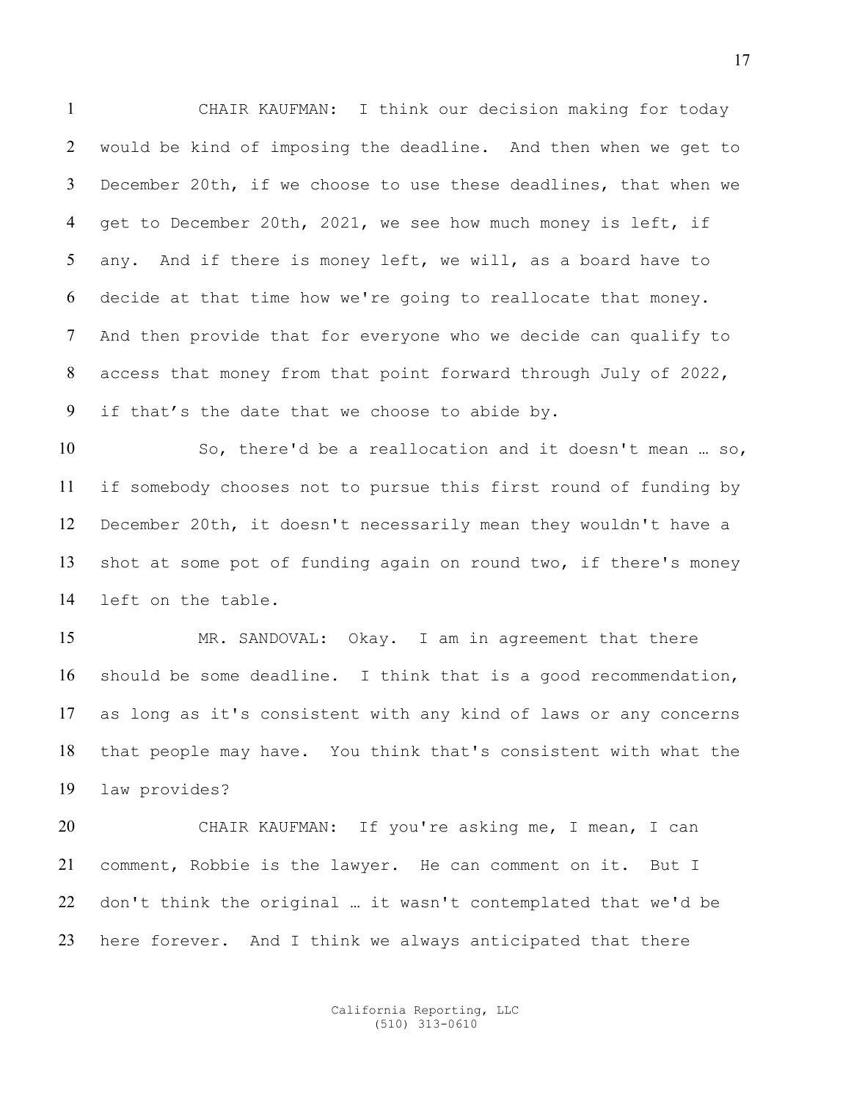CHAIR KAUFMAN: I think our decision making for today would be kind of imposing the deadline. And then when we get to December 20th, if we choose to use these deadlines, that when we get to December 20th, 2021, we see how much money is left, if any. And if there is money left, we will, as a board have to decide at that time how we're going to reallocate that money. And then provide that for everyone who we decide can qualify to access that money from that point forward through July of 2022, if that's the date that we choose to abide by.

So, there'd be a reallocation and it doesn't mean … so, if somebody chooses not to pursue this first round of funding by December 20th, it doesn't necessarily mean they wouldn't have a shot at some pot of funding again on round two, if there's money left on the table.

15 MR. SANDOVAL: Okay. I am in agreement that there should be some deadline. I think that is a good recommendation, as long as it's consistent with any kind of laws or any concerns that people may have. You think that's consistent with what the law provides?

CHAIR KAUFMAN: If you're asking me, I mean, I can comment, Robbie is the lawyer. He can comment on it. But I don't think the original … it wasn't contemplated that we'd be here forever. And I think we always anticipated that there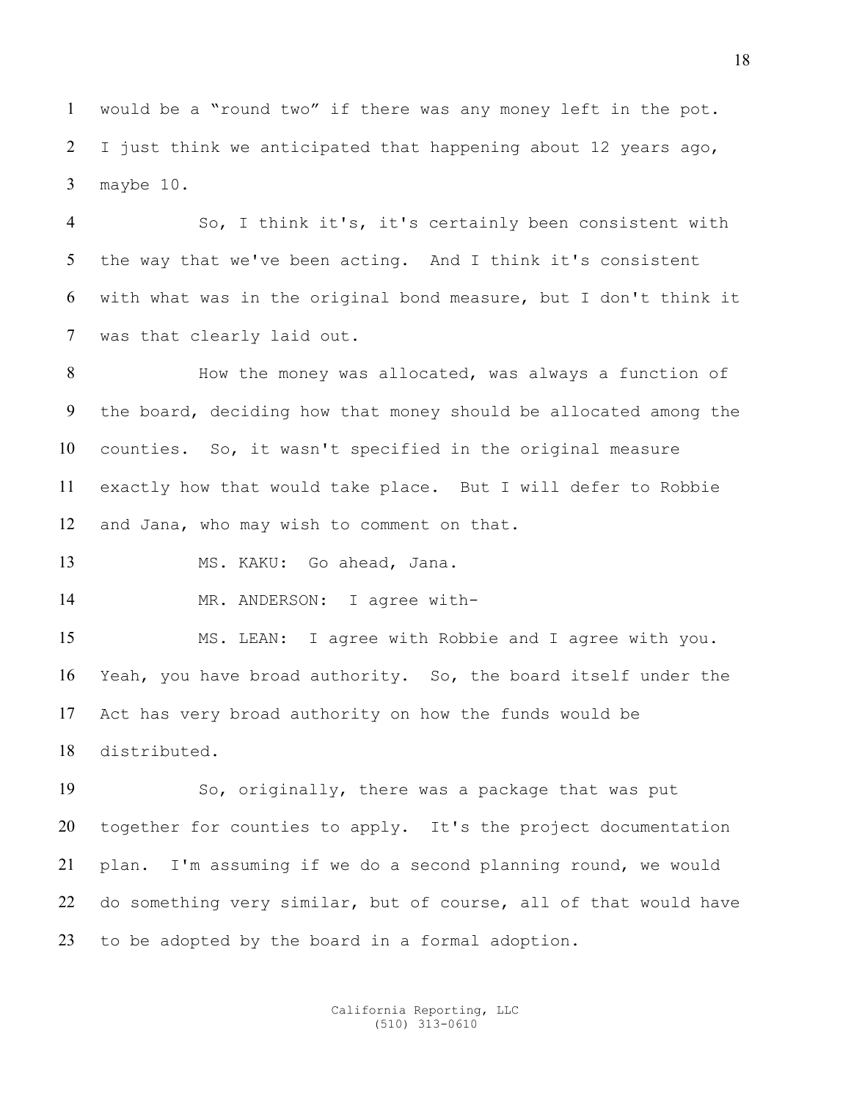would be a "round two" if there was any money left in the pot. I just think we anticipated that happening about 12 years ago, maybe 10.

So, I think it's, it's certainly been consistent with the way that we've been acting. And I think it's consistent with what was in the original bond measure, but I don't think it was that clearly laid out.

How the money was allocated, was always a function of the board, deciding how that money should be allocated among the counties. So, it wasn't specified in the original measure exactly how that would take place. But I will defer to Robbie and Jana, who may wish to comment on that.

MS. KAKU: Go ahead, Jana.

14 MR. ANDERSON: I agree with-

MS. LEAN: I agree with Robbie and I agree with you. Yeah, you have broad authority. So, the board itself under the Act has very broad authority on how the funds would be distributed.

So, originally, there was a package that was put together for counties to apply. It's the project documentation plan. I'm assuming if we do a second planning round, we would do something very similar, but of course, all of that would have to be adopted by the board in a formal adoption.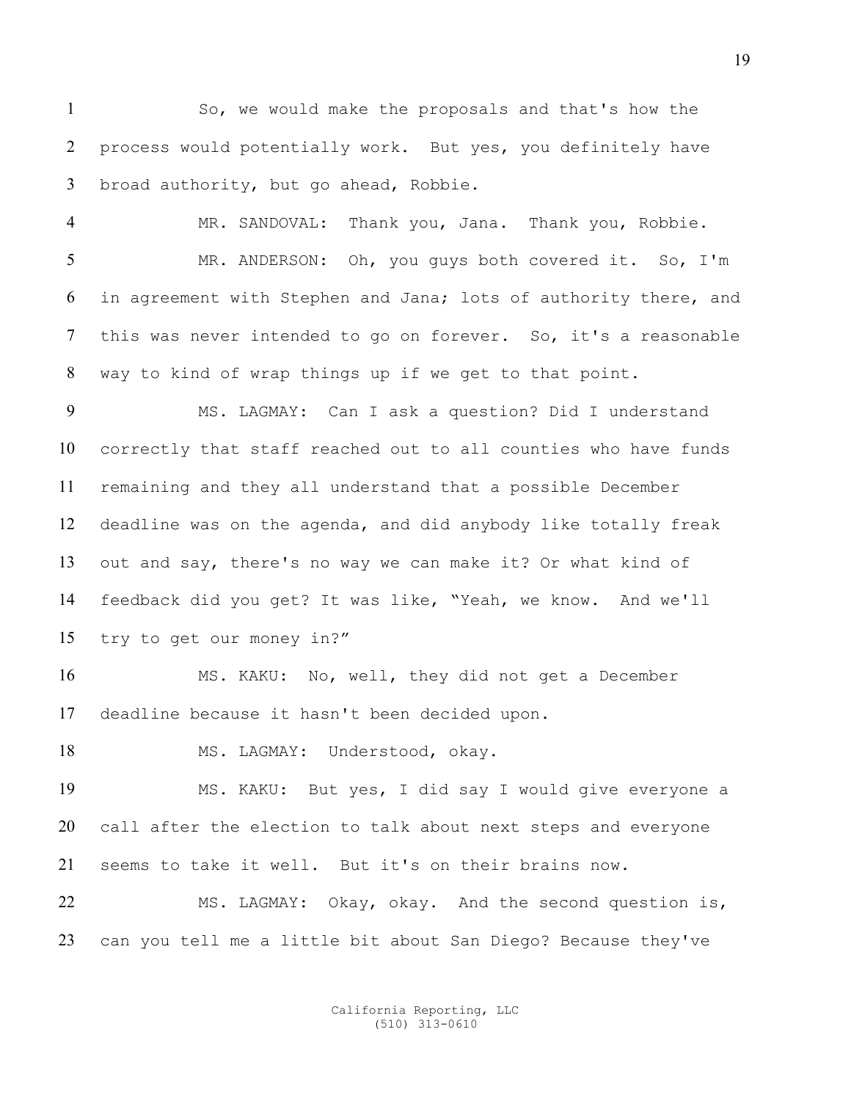So, we would make the proposals and that's how the process would potentially work. But yes, you definitely have broad authority, but go ahead, Robbie.

MR. SANDOVAL: Thank you, Jana. Thank you, Robbie. MR. ANDERSON: Oh, you guys both covered it. So, I'm in agreement with Stephen and Jana; lots of authority there, and this was never intended to go on forever. So, it's a reasonable way to kind of wrap things up if we get to that point.

MS. LAGMAY: Can I ask a question? Did I understand correctly that staff reached out to all counties who have funds remaining and they all understand that a possible December deadline was on the agenda, and did anybody like totally freak out and say, there's no way we can make it? Or what kind of feedback did you get? It was like, "Yeah, we know. And we'll try to get our money in?"

MS. KAKU: No, well, they did not get a December deadline because it hasn't been decided upon.

18 MS. LAGMAY: Understood, okay.

MS. KAKU: But yes, I did say I would give everyone a call after the election to talk about next steps and everyone seems to take it well. But it's on their brains now.

MS. LAGMAY: Okay, okay. And the second question is, can you tell me a little bit about San Diego? Because they've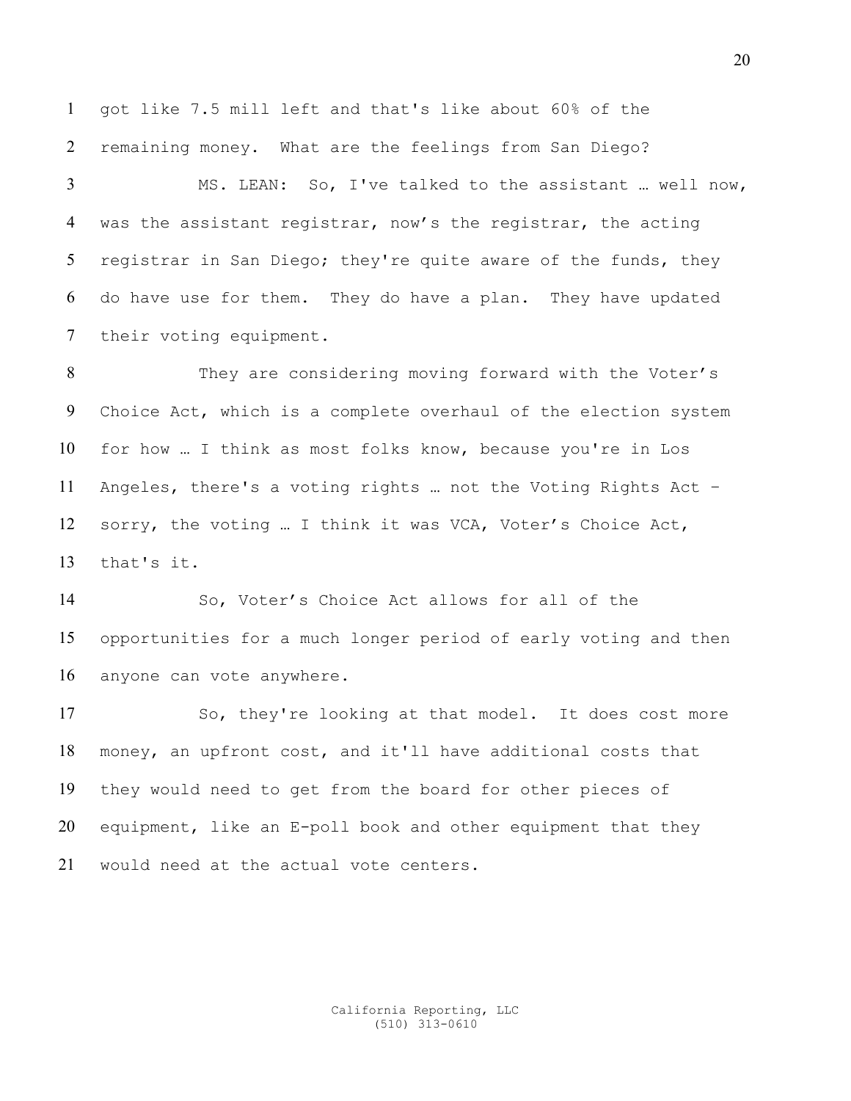got like 7.5 mill left and that's like about 60% of the remaining money. What are the feelings from San Diego?

MS. LEAN: So, I've talked to the assistant … well now, was the assistant registrar, now's the registrar, the acting registrar in San Diego; they're quite aware of the funds, they do have use for them. They do have a plan. They have updated their voting equipment.

They are considering moving forward with the Voter's Choice Act, which is a complete overhaul of the election system for how … I think as most folks know, because you're in Los Angeles, there's a voting rights … not the Voting Rights Act – sorry, the voting … I think it was VCA, Voter's Choice Act, that's it.

So, Voter's Choice Act allows for all of the opportunities for a much longer period of early voting and then anyone can vote anywhere.

So, they're looking at that model. It does cost more money, an upfront cost, and it'll have additional costs that they would need to get from the board for other pieces of equipment, like an E-poll book and other equipment that they would need at the actual vote centers.

> California Reporting, LLC (510) 313-0610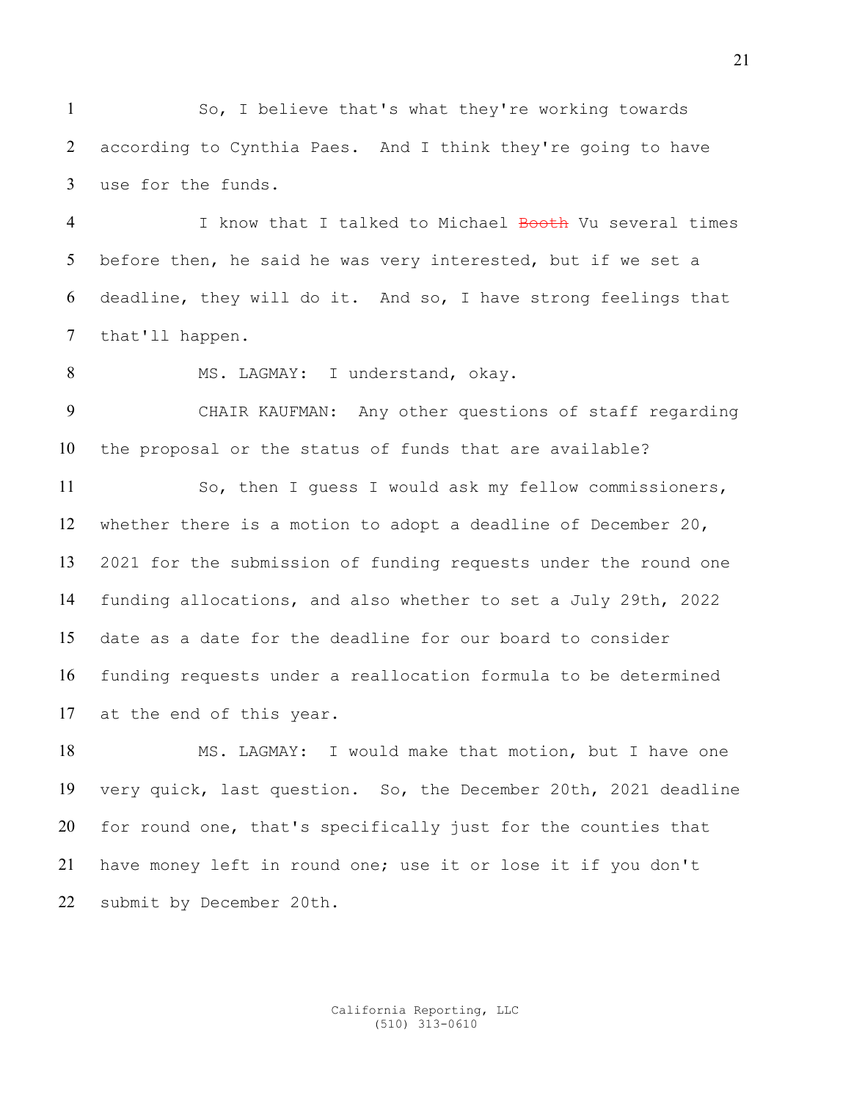So, I believe that's what they're working towards according to Cynthia Paes. And I think they're going to have use for the funds.

4 I know that I talked to Michael Booth Vu several times before then, he said he was very interested, but if we set a deadline, they will do it. And so, I have strong feelings that that'll happen.

8 MS. LAGMAY: I understand, okay.

CHAIR KAUFMAN: Any other questions of staff regarding the proposal or the status of funds that are available?

So, then I guess I would ask my fellow commissioners, whether there is a motion to adopt a deadline of December 20, 2021 for the submission of funding requests under the round one funding allocations, and also whether to set a July 29th, 2022 date as a date for the deadline for our board to consider funding requests under a reallocation formula to be determined at the end of this year.

MS. LAGMAY: I would make that motion, but I have one very quick, last question. So, the December 20th, 2021 deadline for round one, that's specifically just for the counties that have money left in round one; use it or lose it if you don't submit by December 20th.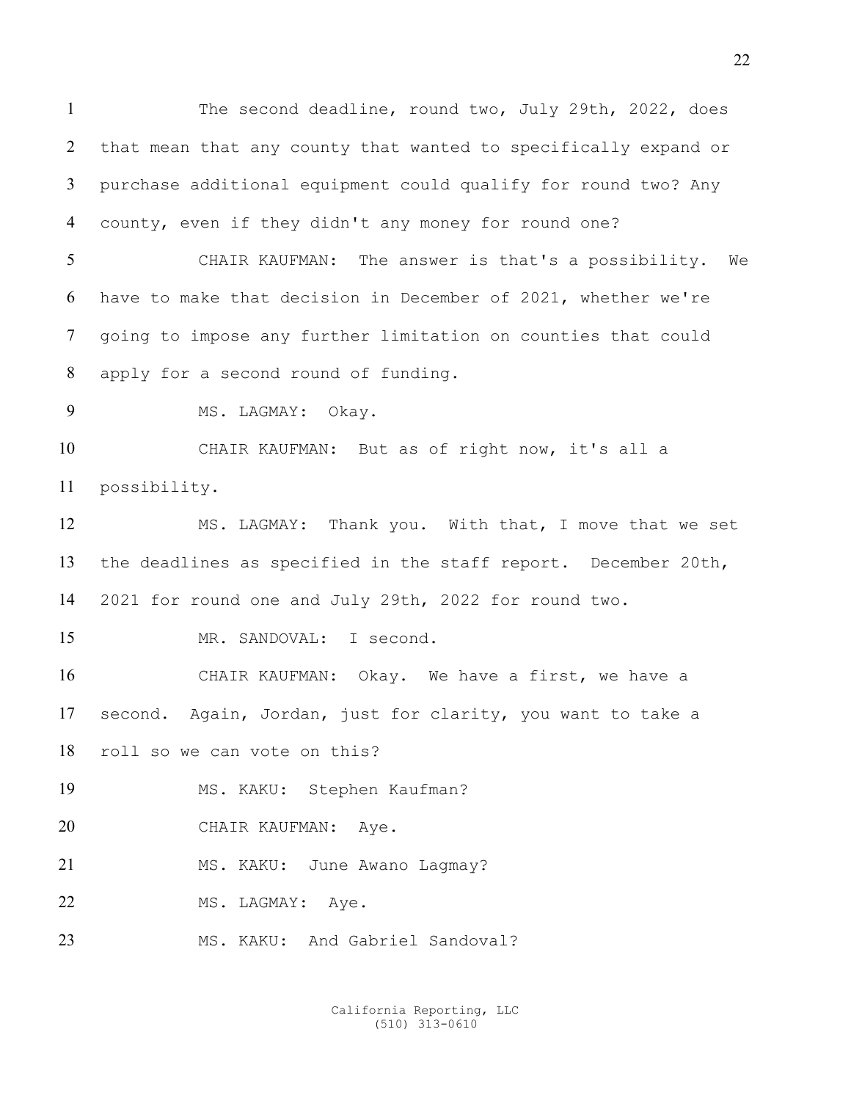The second deadline, round two, July 29th, 2022, does that mean that any county that wanted to specifically expand or purchase additional equipment could qualify for round two? Any county, even if they didn't any money for round one? CHAIR KAUFMAN: The answer is that's a possibility. We have to make that decision in December of 2021, whether we're

going to impose any further limitation on counties that could apply for a second round of funding.

9 MS. LAGMAY: Okay.

CHAIR KAUFMAN: But as of right now, it's all a possibility.

MS. LAGMAY: Thank you. With that, I move that we set the deadlines as specified in the staff report. December 20th, 2021 for round one and July 29th, 2022 for round two.

MR. SANDOVAL: I second.

CHAIR KAUFMAN: Okay. We have a first, we have a second. Again, Jordan, just for clarity, you want to take a roll so we can vote on this?

MS. KAKU: Stephen Kaufman?

CHAIR KAUFMAN: Aye.

21 MS. KAKU: June Awano Lagmay?

22 MS. LAGMAY: Aye.

23 MS. KAKU: And Gabriel Sandoval?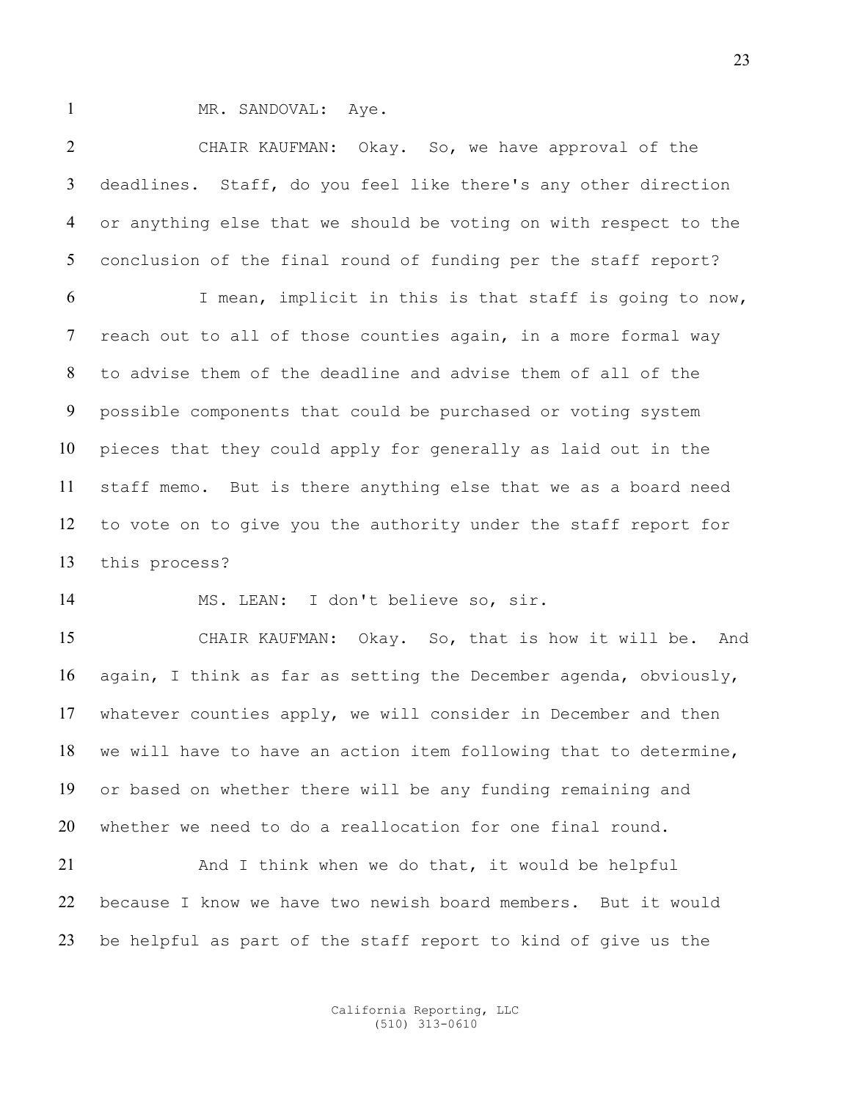1 MR. SANDOVAL: Aye.

CHAIR KAUFMAN: Okay. So, we have approval of the deadlines. Staff, do you feel like there's any other direction or anything else that we should be voting on with respect to the conclusion of the final round of funding per the staff report?

I mean, implicit in this is that staff is going to now, reach out to all of those counties again, in a more formal way to advise them of the deadline and advise them of all of the possible components that could be purchased or voting system pieces that they could apply for generally as laid out in the staff memo. But is there anything else that we as a board need to vote on to give you the authority under the staff report for this process?

MS. LEAN: I don't believe so, sir.

CHAIR KAUFMAN: Okay. So, that is how it will be. And again, I think as far as setting the December agenda, obviously, whatever counties apply, we will consider in December and then we will have to have an action item following that to determine, or based on whether there will be any funding remaining and whether we need to do a reallocation for one final round.

And I think when we do that, it would be helpful because I know we have two newish board members. But it would be helpful as part of the staff report to kind of give us the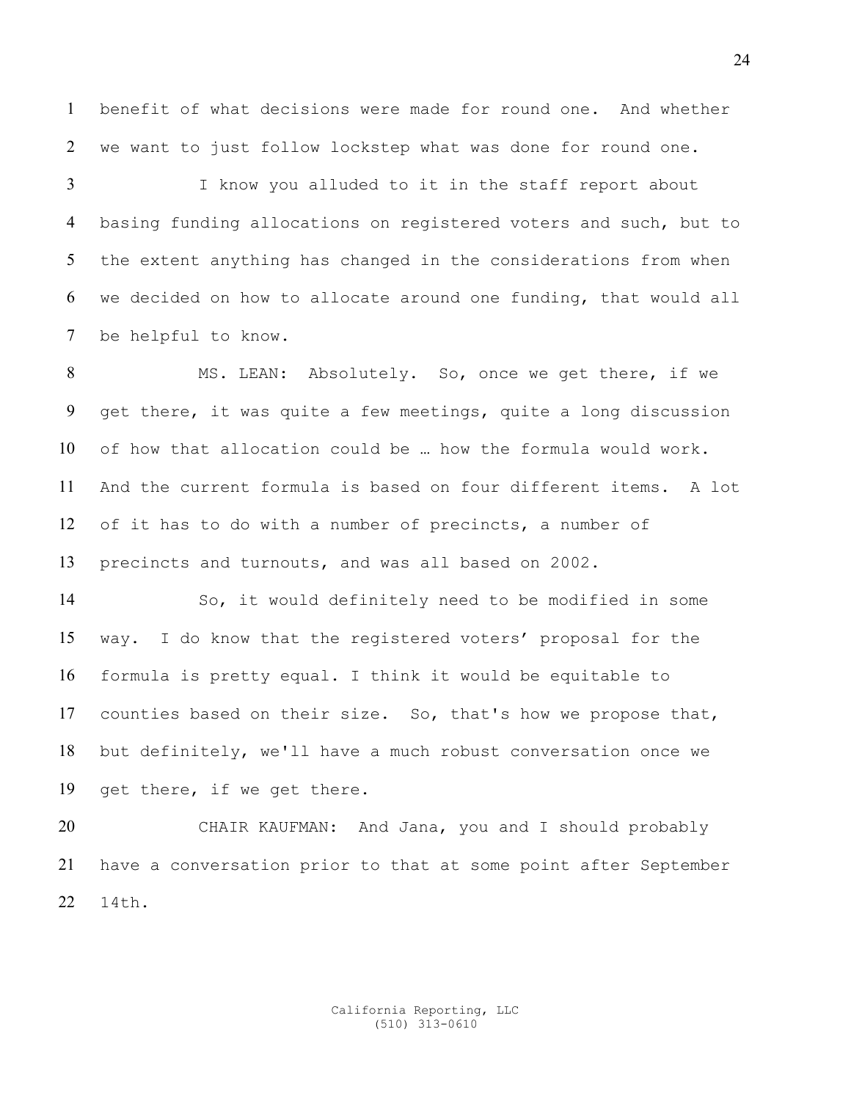benefit of what decisions were made for round one. And whether we want to just follow lockstep what was done for round one.

I know you alluded to it in the staff report about basing funding allocations on registered voters and such, but to the extent anything has changed in the considerations from when we decided on how to allocate around one funding, that would all be helpful to know.

MS. LEAN: Absolutely. So, once we get there, if we get there, it was quite a few meetings, quite a long discussion of how that allocation could be … how the formula would work. And the current formula is based on four different items. A lot of it has to do with a number of precincts, a number of precincts and turnouts, and was all based on 2002.

So, it would definitely need to be modified in some way. I do know that the registered voters' proposal for the formula is pretty equal. I think it would be equitable to counties based on their size. So, that's how we propose that, but definitely, we'll have a much robust conversation once we get there, if we get there.

CHAIR KAUFMAN: And Jana, you and I should probably have a conversation prior to that at some point after September 14th.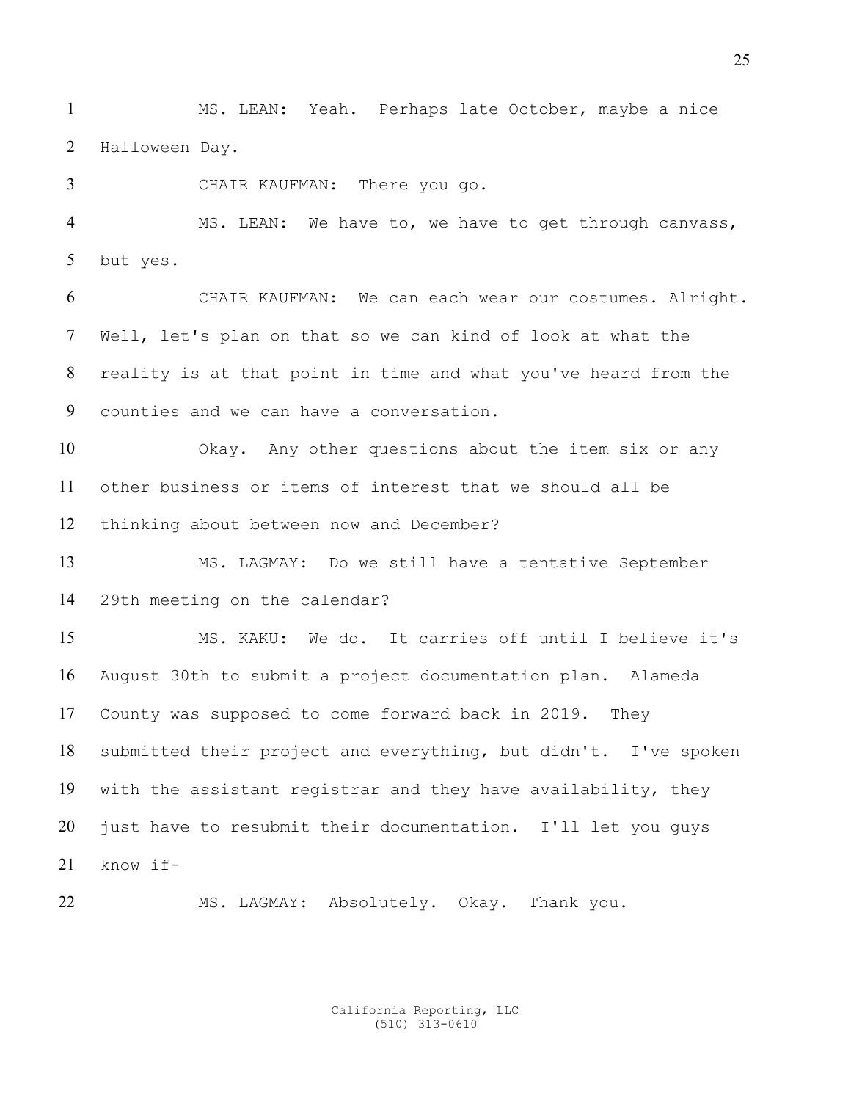MS. LEAN: Yeah. Perhaps late October, maybe a nice Halloween Day.

CHAIR KAUFMAN: There you go.

MS. LEAN: We have to, we have to get through canvass, but yes.

CHAIR KAUFMAN: We can each wear our costumes. Alright. Well, let's plan on that so we can kind of look at what the reality is at that point in time and what you've heard from the counties and we can have a conversation.

Okay. Any other questions about the item six or any other business or items of interest that we should all be thinking about between now and December?

MS. LAGMAY: Do we still have a tentative September 29th meeting on the calendar?

MS. KAKU: We do. It carries off until I believe it's August 30th to submit a project documentation plan. Alameda County was supposed to come forward back in 2019. They submitted their project and everything, but didn't. I've spoken with the assistant registrar and they have availability, they just have to resubmit their documentation. I'll let you guys know if-

MS. LAGMAY: Absolutely. Okay. Thank you.